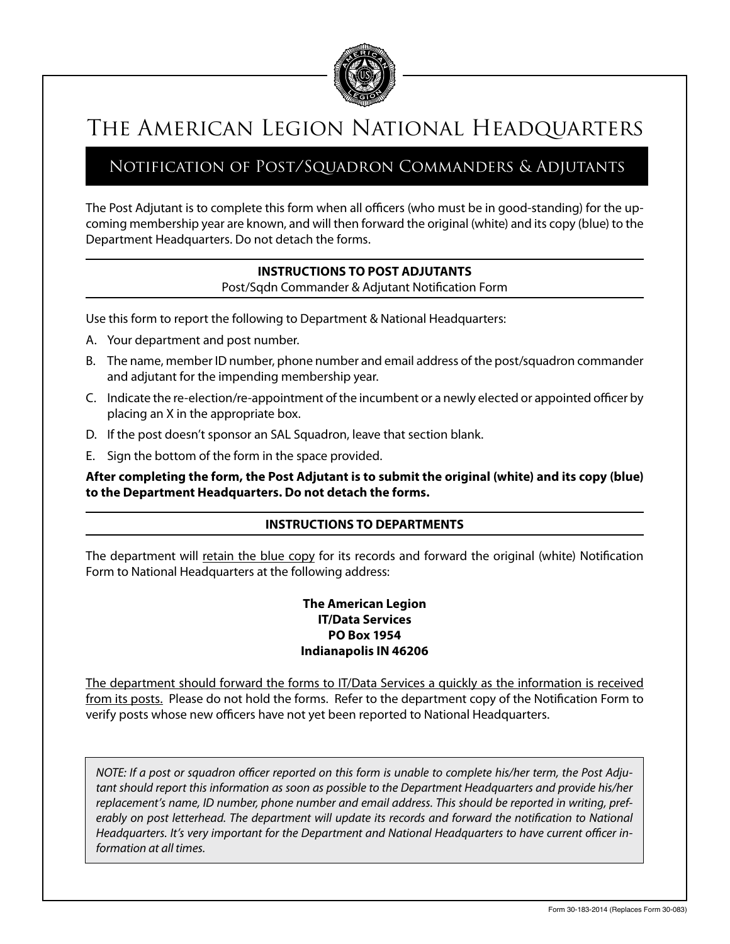

## The American Legion National Headquarters

### Notification of Post/Squadron Commanders & Adjutants

The Post Adjutant is to complete this form when all officers (who must be in good-standing) for the upcoming membership year are known, and will then forward the original (white) and its copy (blue) to the Department Headquarters. Do not detach the forms.

#### **INSTRUCTIONS TO POST ADJUTANTS**

Post/Sqdn Commander & Adjutant Notification Form

Use this form to report the following to Department & National Headquarters:

- A. Your department and post number.
- B. The name, member ID number, phone number and email address of the post/squadron commander and adjutant for the impending membership year.
- C. Indicate the re-election/re-appointment of the incumbent or a newly elected or appointed officer by placing an X in the appropriate box.
- D. If the post doesn't sponsor an SAL Squadron, leave that section blank.
- E. Sign the bottom of the form in the space provided.

**After completing the form, the Post Adjutant is to submit the original (white) and its copy (blue) to the Department Headquarters. Do not detach the forms.**

#### **INSTRUCTIONS TO DEPARTMENTS**

The department will retain the blue copy for its records and forward the original (white) Notification Form to National Headquarters at the following address:

#### **The American Legion IT/Data Services PO Box 1954 Indianapolis IN 46206**

The department should forward the forms to IT/Data Services a quickly as the information is received from its posts. Please do not hold the forms. Refer to the department copy of the Notification Form to verify posts whose new officers have not yet been reported to National Headquarters.

*NOTE: If a post or squadron officer reported on this form is unable to complete his/her term, the Post Adjutant should report this information as soon as possible to the Department Headquarters and provide his/her replacement's name, ID number, phone number and email address. This should be reported in writing, preferably on post letterhead. The department will update its records and forward the notification to National Headquarters. It's very important for the Department and National Headquarters to have current officer information at all times.*